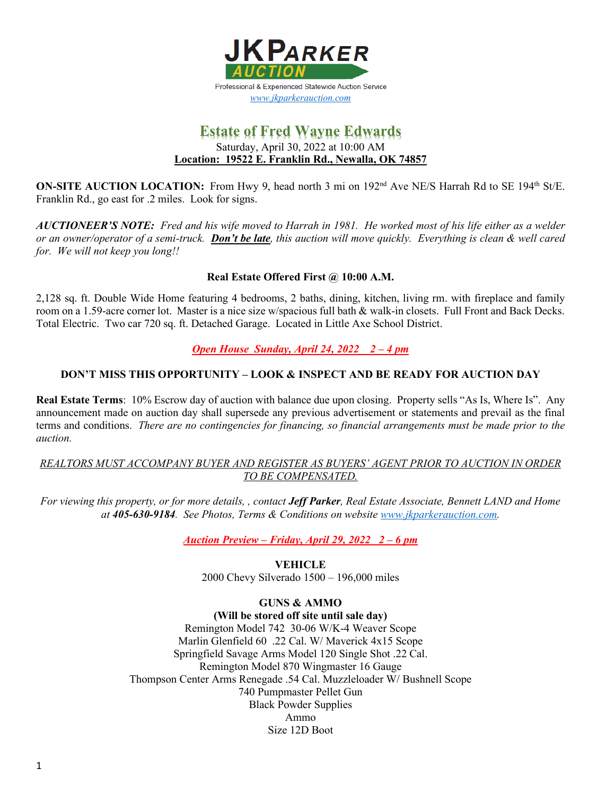

# **Estate of Fred Wayne Edwards**  Saturday, April 30, 2022 at 10:00 AM **Location: 19522 E. Franklin Rd., Newalla, OK 74857**

**ON-SITE AUCTION LOCATION:** From Hwy 9, head north 3 mi on 192<sup>nd</sup> Ave NE/S Harrah Rd to SE 194<sup>th</sup> St/E. Franklin Rd., go east for .2 miles. Look for signs.

*AUCTIONEER'S NOTE: Fred and his wife moved to Harrah in 1981. He worked most of his life either as a welder or an owner/operator of a semi-truck. Don't be late, this auction will move quickly. Everything is clean & well cared for. We will not keep you long!!* 

## **Real Estate Offered First @ 10:00 A.M.**

2,128 sq. ft. Double Wide Home featuring 4 bedrooms, 2 baths, dining, kitchen, living rm. with fireplace and family room on a 1.59-acre corner lot. Master is a nice size w/spacious full bath & walk-in closets. Full Front and Back Decks. Total Electric. Two car 720 sq. ft. Detached Garage. Located in Little Axe School District.

## *Open House Sunday, April 24, 2022 2 – 4 pm*

### **DON'T MISS THIS OPPORTUNITY – LOOK & INSPECT AND BE READY FOR AUCTION DAY**

**Real Estate Terms**: 10% Escrow day of auction with balance due upon closing. Property sells "As Is, Where Is". Any announcement made on auction day shall supersede any previous advertisement or statements and prevail as the final terms and conditions. *There are no contingencies for financing, so financial arrangements must be made prior to the auction.* 

### *REALTORS MUST ACCOMPANY BUYER AND REGISTER AS BUYERS' AGENT PRIOR TO AUCTION IN ORDER TO BE COMPENSATED.*

*For viewing this property, or for more details, , contact Jeff Parker, Real Estate Associate, Bennett LAND and Home at 405-630-9184. See Photos, Terms & Conditions on website [www.jkparkerauction.com.](http://www.jkparkerauction.com/)* 

*Auction Preview – Friday, April 29, 2022 2 – 6 pm* 

**VEHICLE** 2000 Chevy Silverado 1500 – 196,000 miles

## **GUNS & AMMO**

**(Will be stored off site until sale day)**  Remington Model 742 30-06 W/K-4 Weaver Scope Marlin Glenfield 60 .22 Cal. W/ Maverick 4x15 Scope Springfield Savage Arms Model 120 Single Shot .22 Cal. Remington Model 870 Wingmaster 16 Gauge Thompson Center Arms Renegade .54 Cal. Muzzleloader W/ Bushnell Scope 740 Pumpmaster Pellet Gun Black Powder Supplies Ammo Size 12D Boot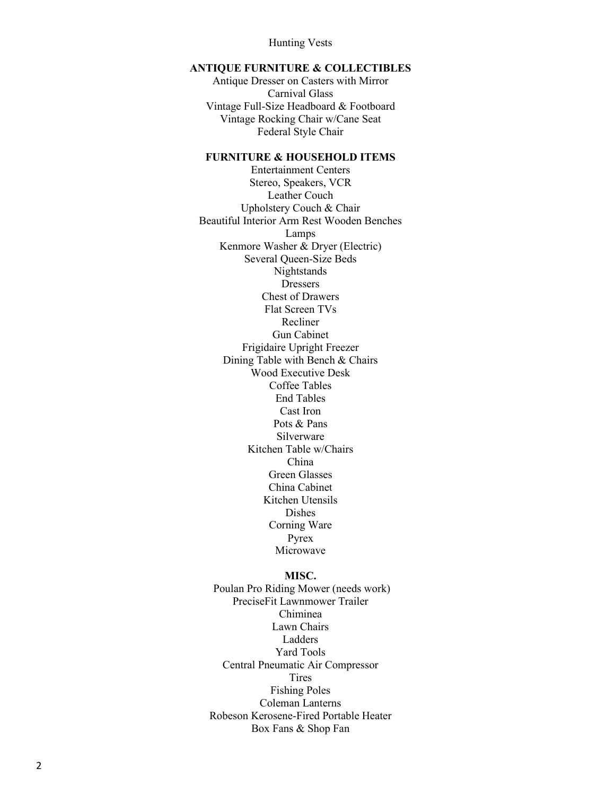Hunting Vests

#### **ANTIQUE FURNITURE & COLLECTIBLES**

Antique Dresser on Casters with Mirror Carnival Glass Vintage Full -Size Headboard & Footboard Vintage Rocking Chair w/Cane Seat Federal Style Chair

### **FURNITURE & HOUSEHOLD ITEMS**

Entertainment Centers Stereo, Speakers, VCR Leather Couch Upholstery Couch & Chair Beautiful Interior Arm Rest Wooden Benches Lamps Kenmore Washer & Dryer (Electric) Several Queen -Size Beds Nightstands **Dressers** Chest of Drawers Flat Screen TVs Recliner Gun Cabinet Frigidaire Upright Freezer Dining Table with Bench & Chairs Wood Executive Desk Coffee Tables End Tables Cast Iron Pots & Pans Silverware Kitchen Table w/Chairs China Green Glasses China Cabinet Kitchen Utensils Dishes Corning Ware Pyrex Microwave

#### **MISC.**

Poulan Pro Riding Mower (needs work) PreciseFit Lawnmower Trailer Chiminea Lawn Chairs Ladders Yard Tools Central Pneumatic Air Compressor Tires Fishing Poles Coleman Lanterns Robeson Kerosene -Fired Portable Heater Box Fans & Shop Fan